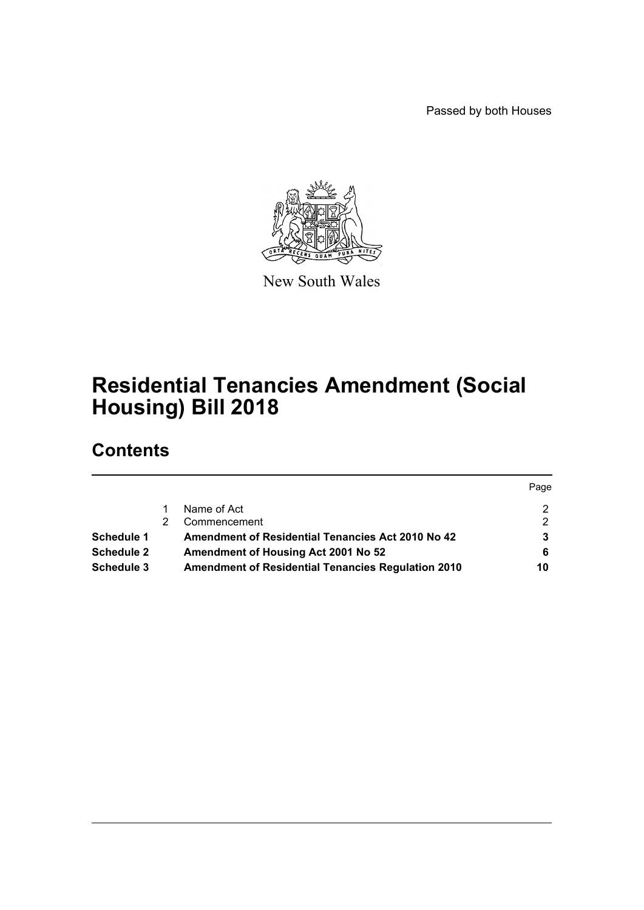Passed by both Houses

Page



New South Wales

# **Residential Tenancies Amendment (Social Housing) Bill 2018**

# **Contents**

|                   |                                                           | Page |
|-------------------|-----------------------------------------------------------|------|
|                   | Name of Act                                               |      |
|                   | Commencement                                              | ົ    |
| Schedule 1        | Amendment of Residential Tenancies Act 2010 No 42         |      |
| <b>Schedule 2</b> | <b>Amendment of Housing Act 2001 No 52</b>                | 6    |
| Schedule 3        | <b>Amendment of Residential Tenancies Regulation 2010</b> | 10   |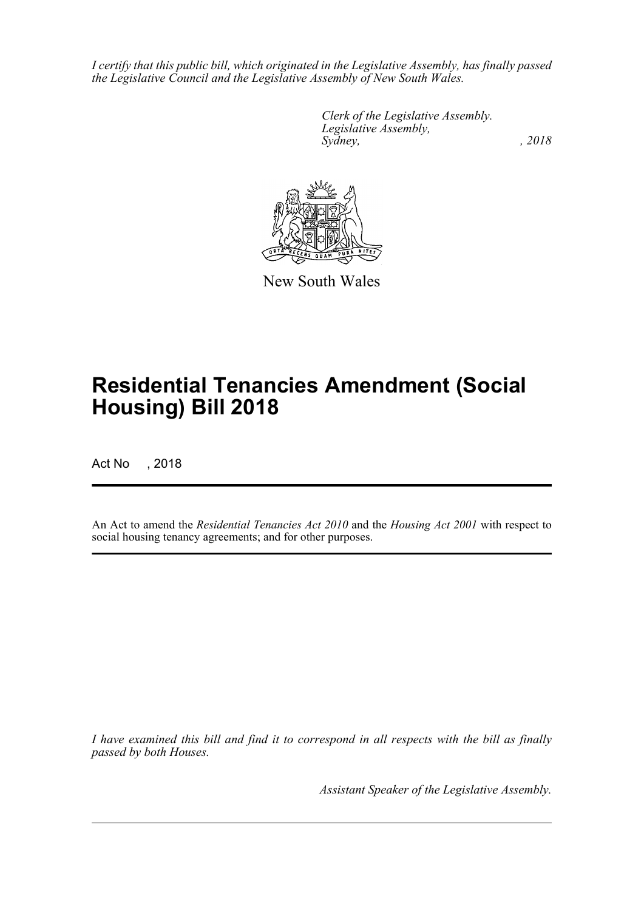*I certify that this public bill, which originated in the Legislative Assembly, has finally passed the Legislative Council and the Legislative Assembly of New South Wales.*

> *Clerk of the Legislative Assembly. Legislative Assembly, Sydney, , 2018*



New South Wales

# **Residential Tenancies Amendment (Social Housing) Bill 2018**

Act No , 2018

An Act to amend the *Residential Tenancies Act 2010* and the *Housing Act 2001* with respect to social housing tenancy agreements; and for other purposes.

*I have examined this bill and find it to correspond in all respects with the bill as finally passed by both Houses.*

*Assistant Speaker of the Legislative Assembly.*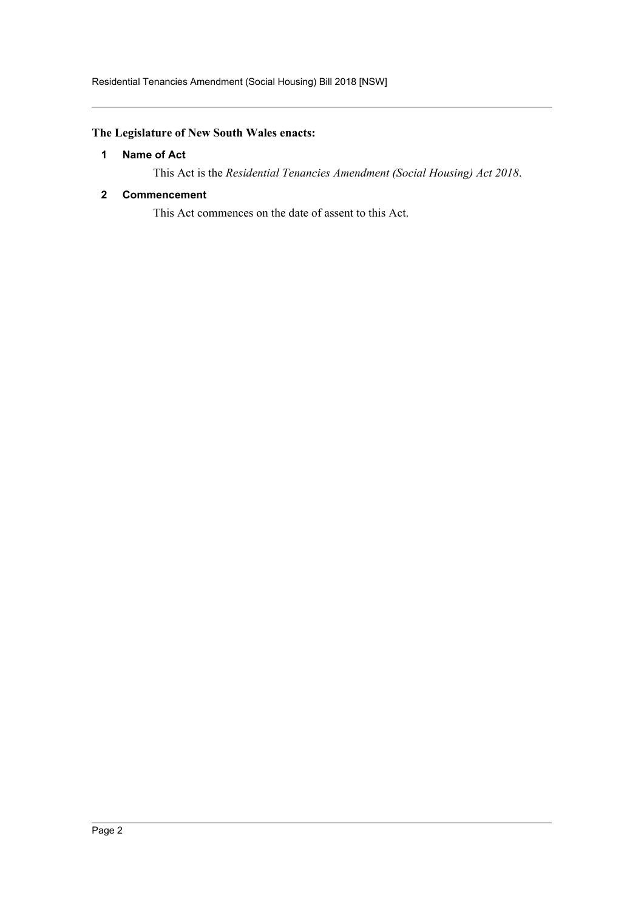# <span id="page-2-0"></span>**The Legislature of New South Wales enacts:**

# **1 Name of Act**

This Act is the *Residential Tenancies Amendment (Social Housing) Act 2018*.

# <span id="page-2-1"></span>**2 Commencement**

This Act commences on the date of assent to this Act.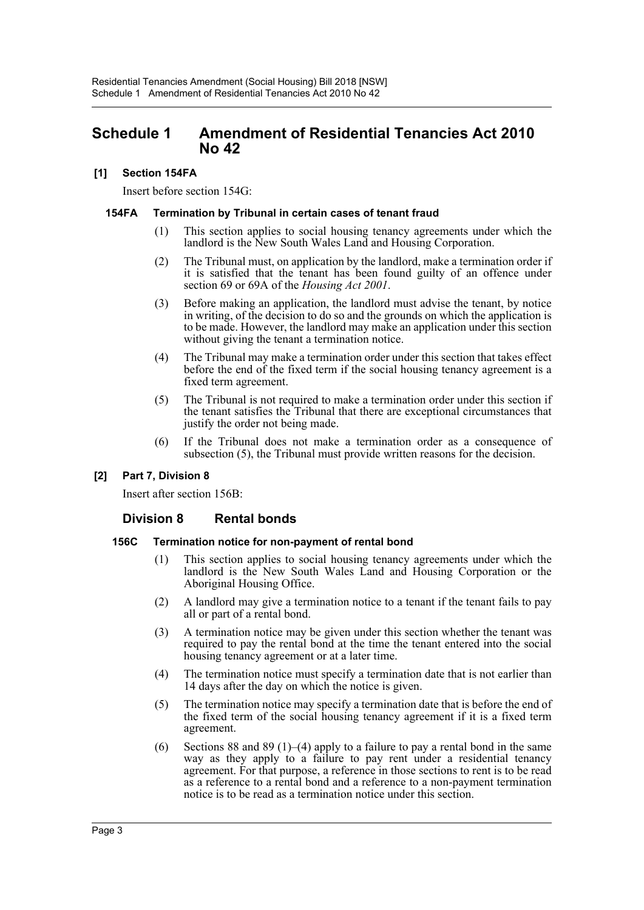# <span id="page-3-0"></span>**Schedule 1 Amendment of Residential Tenancies Act 2010 No 42**

# **[1] Section 154FA**

Insert before section 154G:

## **154FA Termination by Tribunal in certain cases of tenant fraud**

- (1) This section applies to social housing tenancy agreements under which the landlord is the New South Wales Land and Housing Corporation.
- (2) The Tribunal must, on application by the landlord, make a termination order if it is satisfied that the tenant has been found guilty of an offence under section 69 or 69A of the *Housing Act 2001*.
- (3) Before making an application, the landlord must advise the tenant, by notice in writing, of the decision to do so and the grounds on which the application is to be made. However, the landlord may make an application under this section without giving the tenant a termination notice.
- (4) The Tribunal may make a termination order under this section that takes effect before the end of the fixed term if the social housing tenancy agreement is a fixed term agreement.
- (5) The Tribunal is not required to make a termination order under this section if the tenant satisfies the Tribunal that there are exceptional circumstances that justify the order not being made.
- (6) If the Tribunal does not make a termination order as a consequence of subsection (5), the Tribunal must provide written reasons for the decision.

# **[2] Part 7, Division 8**

Insert after section 156B:

# **Division 8 Rental bonds**

## **156C Termination notice for non-payment of rental bond**

- (1) This section applies to social housing tenancy agreements under which the landlord is the New South Wales Land and Housing Corporation or the Aboriginal Housing Office.
- (2) A landlord may give a termination notice to a tenant if the tenant fails to pay all or part of a rental bond.
- (3) A termination notice may be given under this section whether the tenant was required to pay the rental bond at the time the tenant entered into the social housing tenancy agreement or at a later time.
- (4) The termination notice must specify a termination date that is not earlier than 14 days after the day on which the notice is given.
- (5) The termination notice may specify a termination date that is before the end of the fixed term of the social housing tenancy agreement if it is a fixed term agreement.
- (6) Sections 88 and 89 (1)–(4) apply to a failure to pay a rental bond in the same way as they apply to a failure to pay rent under a residential tenancy agreement. For that purpose, a reference in those sections to rent is to be read as a reference to a rental bond and a reference to a non-payment termination notice is to be read as a termination notice under this section.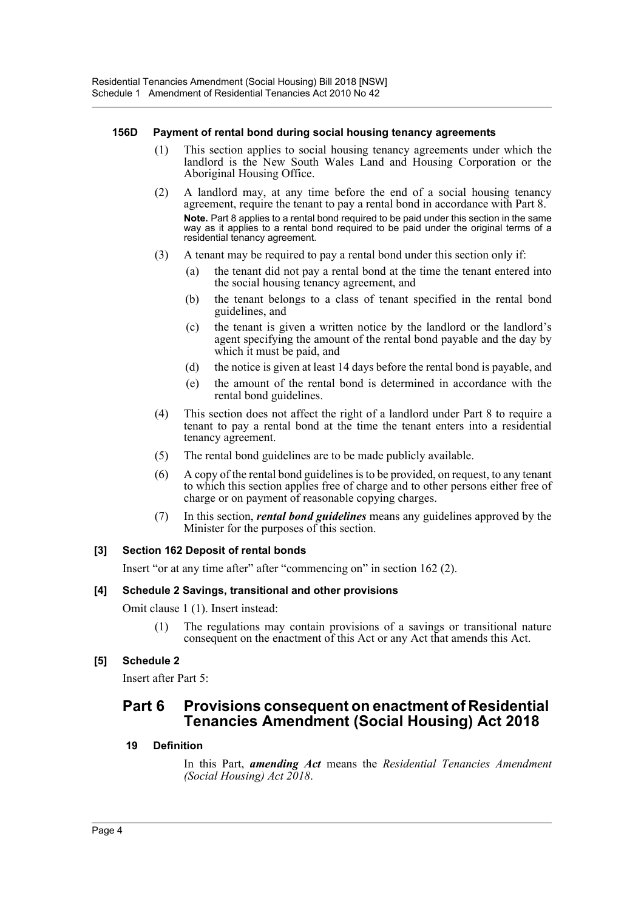## **156D Payment of rental bond during social housing tenancy agreements**

- (1) This section applies to social housing tenancy agreements under which the landlord is the New South Wales Land and Housing Corporation or the Aboriginal Housing Office.
- (2) A landlord may, at any time before the end of a social housing tenancy agreement, require the tenant to pay a rental bond in accordance with Part 8. **Note.** Part 8 applies to a rental bond required to be paid under this section in the same way as it applies to a rental bond required to be paid under the original terms of a residential tenancy agreement.
- (3) A tenant may be required to pay a rental bond under this section only if:
	- (a) the tenant did not pay a rental bond at the time the tenant entered into the social housing tenancy agreement, and
	- (b) the tenant belongs to a class of tenant specified in the rental bond guidelines, and
	- (c) the tenant is given a written notice by the landlord or the landlord's agent specifying the amount of the rental bond payable and the day by which it must be paid, and
	- (d) the notice is given at least 14 days before the rental bond is payable, and
	- (e) the amount of the rental bond is determined in accordance with the rental bond guidelines.
- (4) This section does not affect the right of a landlord under Part 8 to require a tenant to pay a rental bond at the time the tenant enters into a residential tenancy agreement.
- (5) The rental bond guidelines are to be made publicly available.
- (6) A copy of the rental bond guidelines is to be provided, on request, to any tenant to which this section applies free of charge and to other persons either free of charge or on payment of reasonable copying charges.
- (7) In this section, *rental bond guidelines* means any guidelines approved by the Minister for the purposes of this section.

# **[3] Section 162 Deposit of rental bonds**

Insert "or at any time after" after "commencing on" in section 162 (2).

# **[4] Schedule 2 Savings, transitional and other provisions**

Omit clause 1 (1). Insert instead:

(1) The regulations may contain provisions of a savings or transitional nature consequent on the enactment of this Act or any Act that amends this Act.

# **[5] Schedule 2**

Insert after Part 5:

# **Part 6 Provisions consequent on enactment of Residential Tenancies Amendment (Social Housing) Act 2018**

# **19 Definition**

In this Part, *amending Act* means the *Residential Tenancies Amendment (Social Housing) Act 2018*.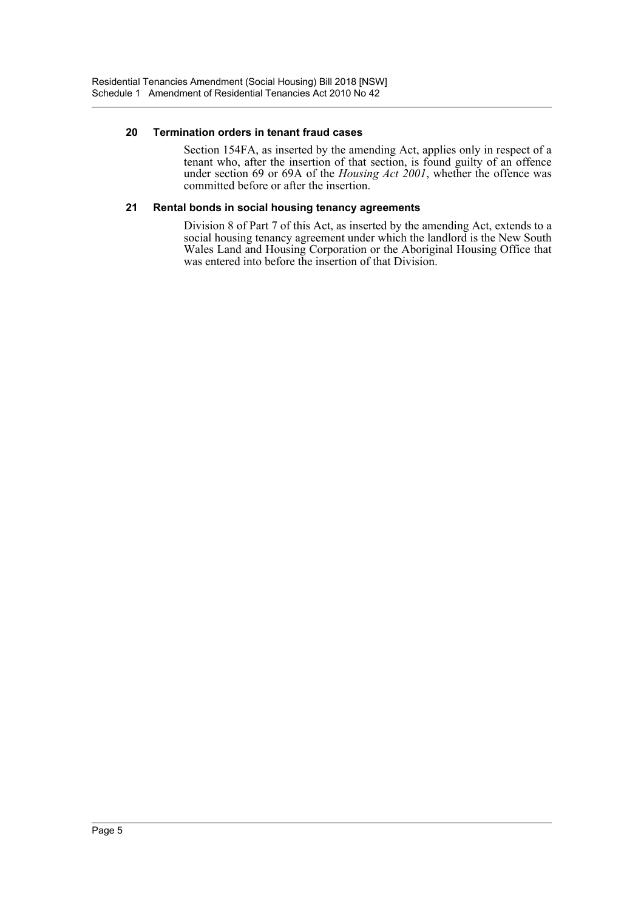## **20 Termination orders in tenant fraud cases**

Section 154FA, as inserted by the amending Act, applies only in respect of a tenant who, after the insertion of that section, is found guilty of an offence under section 69 or 69A of the *Housing Act 2001*, whether the offence was committed before or after the insertion.

#### **21 Rental bonds in social housing tenancy agreements**

Division 8 of Part 7 of this Act, as inserted by the amending Act, extends to a social housing tenancy agreement under which the landlord is the New South Wales Land and Housing Corporation or the Aboriginal Housing Office that was entered into before the insertion of that Division.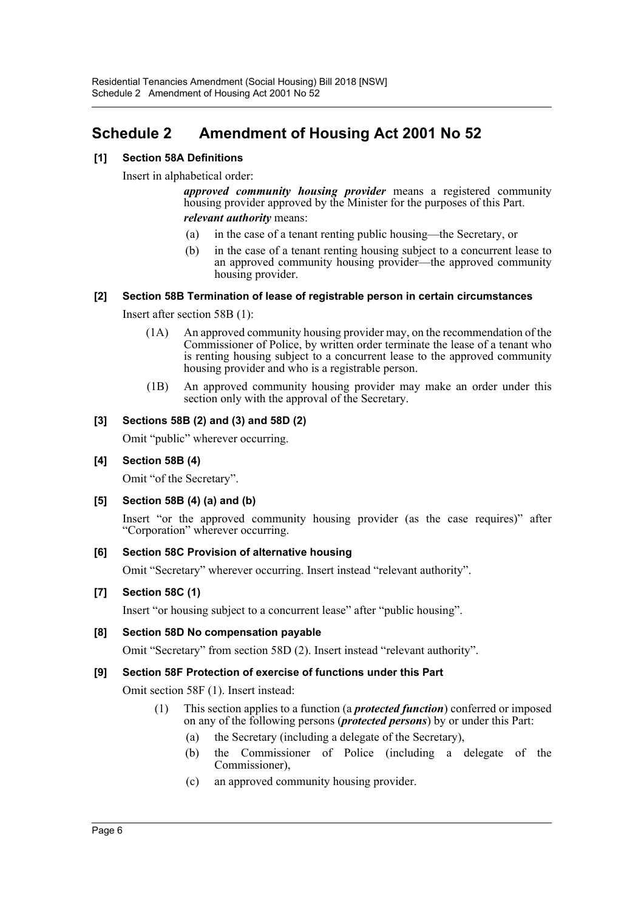# <span id="page-6-0"></span>**Schedule 2 Amendment of Housing Act 2001 No 52**

# **[1] Section 58A Definitions**

Insert in alphabetical order:

*approved community housing provider* means a registered community housing provider approved by the Minister for the purposes of this Part. *relevant authority* means:

- (a) in the case of a tenant renting public housing—the Secretary, or
- (b) in the case of a tenant renting housing subject to a concurrent lease to an approved community housing provider—the approved community housing provider.

# **[2] Section 58B Termination of lease of registrable person in certain circumstances**

Insert after section 58B (1):

- (1A) An approved community housing provider may, on the recommendation of the Commissioner of Police, by written order terminate the lease of a tenant who is renting housing subject to a concurrent lease to the approved community housing provider and who is a registrable person.
- (1B) An approved community housing provider may make an order under this section only with the approval of the Secretary.

# **[3] Sections 58B (2) and (3) and 58D (2)**

Omit "public" wherever occurring.

## **[4] Section 58B (4)**

Omit "of the Secretary".

## **[5] Section 58B (4) (a) and (b)**

Insert "or the approved community housing provider (as the case requires)" after "Corporation" wherever occurring.

## **[6] Section 58C Provision of alternative housing**

Omit "Secretary" wherever occurring. Insert instead "relevant authority".

## **[7] Section 58C (1)**

Insert "or housing subject to a concurrent lease" after "public housing".

## **[8] Section 58D No compensation payable**

Omit "Secretary" from section 58D (2). Insert instead "relevant authority".

# **[9] Section 58F Protection of exercise of functions under this Part**

Omit section 58F (1). Insert instead:

- (1) This section applies to a function (a *protected function*) conferred or imposed on any of the following persons (*protected persons*) by or under this Part:
	- (a) the Secretary (including a delegate of the Secretary),
	- (b) the Commissioner of Police (including a delegate of the Commissioner),
	- (c) an approved community housing provider.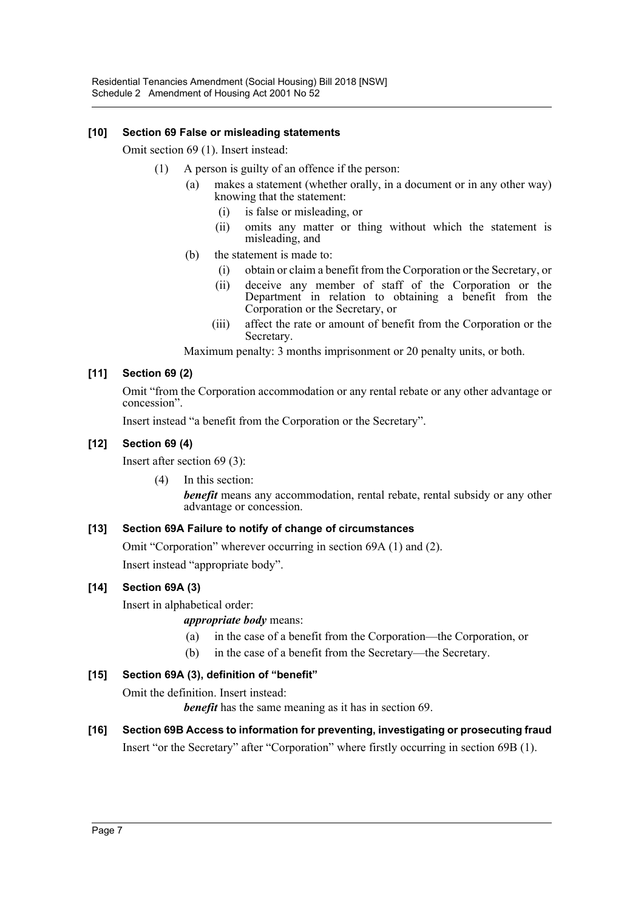# **[10] Section 69 False or misleading statements**

Omit section 69 (1). Insert instead:

- (1) A person is guilty of an offence if the person:
	- (a) makes a statement (whether orally, in a document or in any other way) knowing that the statement:
		- (i) is false or misleading, or
		- (ii) omits any matter or thing without which the statement is misleading, and
	- (b) the statement is made to:
		- (i) obtain or claim a benefit from the Corporation or the Secretary, or
		- (ii) deceive any member of staff of the Corporation or the Department in relation to obtaining a benefit from the Corporation or the Secretary, or
		- (iii) affect the rate or amount of benefit from the Corporation or the Secretary.

Maximum penalty: 3 months imprisonment or 20 penalty units, or both.

# **[11] Section 69 (2)**

Omit "from the Corporation accommodation or any rental rebate or any other advantage or concession".

Insert instead "a benefit from the Corporation or the Secretary".

# **[12] Section 69 (4)**

Insert after section 69 (3):

(4) In this section:

*benefit* means any accommodation, rental rebate, rental subsidy or any other advantage or concession.

# **[13] Section 69A Failure to notify of change of circumstances**

Omit "Corporation" wherever occurring in section 69A (1) and (2).

Insert instead "appropriate body".

# **[14] Section 69A (3)**

Insert in alphabetical order:

*appropriate body* means:

- (a) in the case of a benefit from the Corporation—the Corporation, or
- (b) in the case of a benefit from the Secretary—the Secretary.

# **[15] Section 69A (3), definition of "benefit"**

Omit the definition. Insert instead:

*benefit* has the same meaning as it has in section 69.

# **[16] Section 69B Access to information for preventing, investigating or prosecuting fraud**

Insert "or the Secretary" after "Corporation" where firstly occurring in section 69B (1).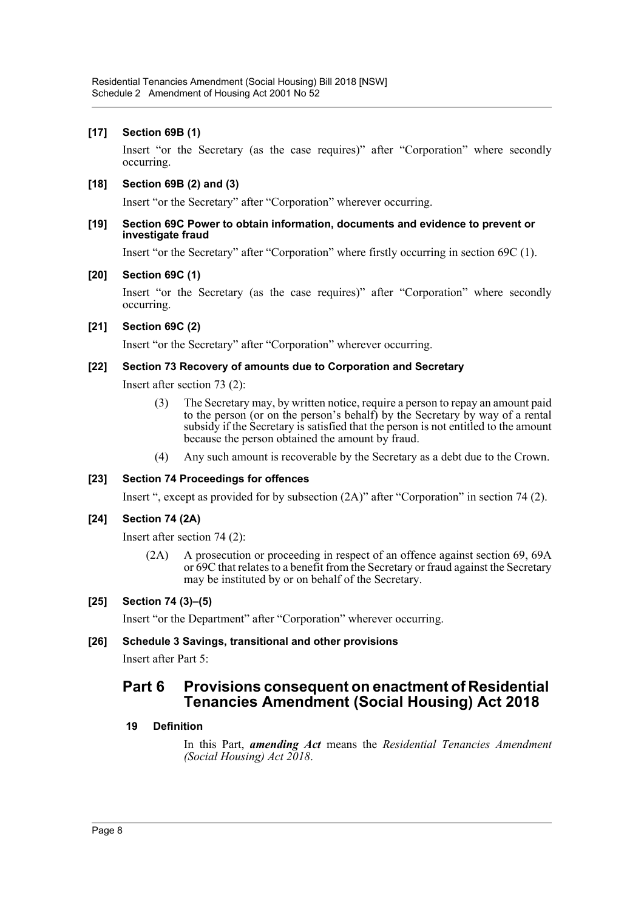# **[17] Section 69B (1)**

Insert "or the Secretary (as the case requires)" after "Corporation" where secondly occurring.

#### **[18] Section 69B (2) and (3)**

Insert "or the Secretary" after "Corporation" wherever occurring.

#### **[19] Section 69C Power to obtain information, documents and evidence to prevent or investigate fraud**

Insert "or the Secretary" after "Corporation" where firstly occurring in section 69C (1).

#### **[20] Section 69C (1)**

Insert "or the Secretary (as the case requires)" after "Corporation" where secondly occurring.

#### **[21] Section 69C (2)**

Insert "or the Secretary" after "Corporation" wherever occurring.

#### **[22] Section 73 Recovery of amounts due to Corporation and Secretary**

Insert after section 73 (2):

- (3) The Secretary may, by written notice, require a person to repay an amount paid to the person (or on the person's behalf) by the Secretary by way of a rental subsidy if the Secretary is satisfied that the person is not entitled to the amount because the person obtained the amount by fraud.
- (4) Any such amount is recoverable by the Secretary as a debt due to the Crown.

## **[23] Section 74 Proceedings for offences**

Insert ", except as provided for by subsection (2A)" after "Corporation" in section 74 (2).

## **[24] Section 74 (2A)**

Insert after section 74 (2):

(2A) A prosecution or proceeding in respect of an offence against section 69, 69A or 69C that relates to a benefit from the Secretary or fraud against the Secretary may be instituted by or on behalf of the Secretary.

## **[25] Section 74 (3)–(5)**

Insert "or the Department" after "Corporation" wherever occurring.

## **[26] Schedule 3 Savings, transitional and other provisions**

Insert after Part 5:

# **Part 6 Provisions consequent on enactment of Residential Tenancies Amendment (Social Housing) Act 2018**

## **19 Definition**

In this Part, *amending Act* means the *Residential Tenancies Amendment (Social Housing) Act 2018*.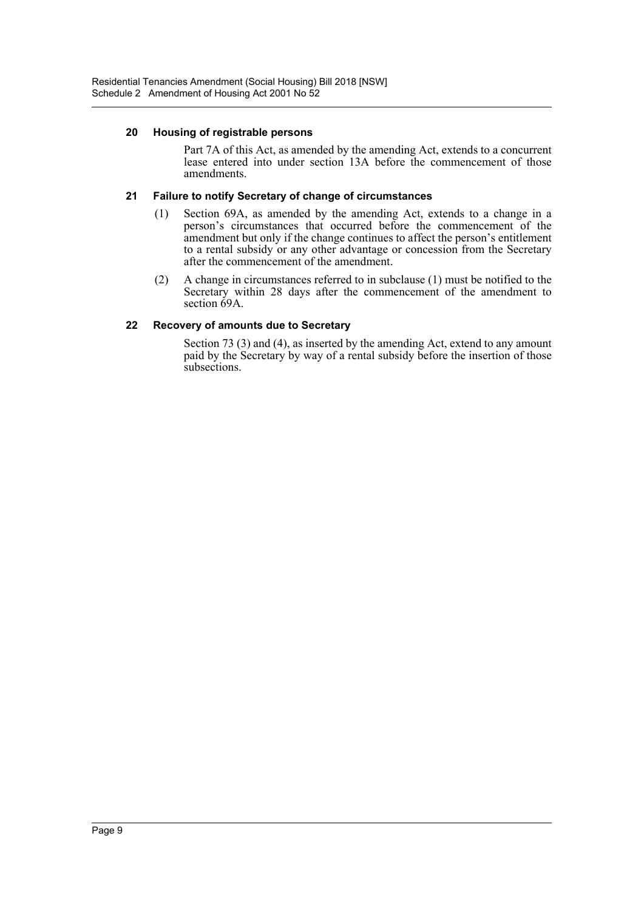#### **20 Housing of registrable persons**

Part 7A of this Act, as amended by the amending Act, extends to a concurrent lease entered into under section 13A before the commencement of those amendments.

## **21 Failure to notify Secretary of change of circumstances**

- (1) Section 69A, as amended by the amending Act, extends to a change in a person's circumstances that occurred before the commencement of the amendment but only if the change continues to affect the person's entitlement to a rental subsidy or any other advantage or concession from the Secretary after the commencement of the amendment.
- (2) A change in circumstances referred to in subclause (1) must be notified to the Secretary within 28 days after the commencement of the amendment to section 69A.

## **22 Recovery of amounts due to Secretary**

Section 73 (3) and (4), as inserted by the amending Act, extend to any amount paid by the Secretary by way of a rental subsidy before the insertion of those subsections.